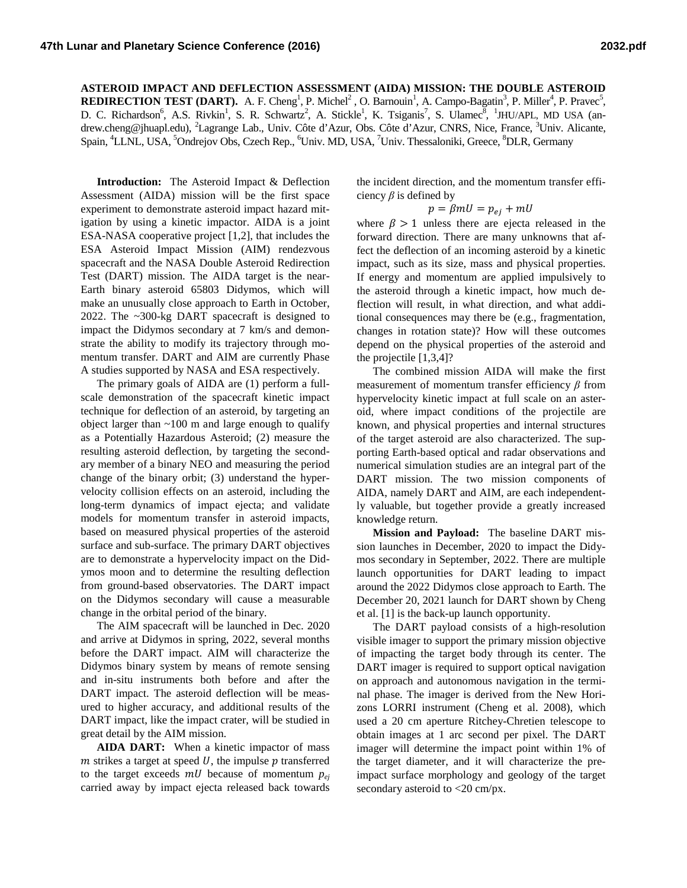## **ASTEROID IMPACT AND DEFLECTION ASSESSMENT (AIDA) MISSION: THE DOUBLE ASTEROID REDIRECTION TEST (DART).** A. F. Cheng<sup>1</sup>, P. Michel<sup>2</sup>, O. Barnouin<sup>1</sup>, A. Campo-Bagatin<sup>3</sup>, P. Miller<sup>4</sup>, P. Pravec<sup>5</sup>, D. C. Richardson<sup>6</sup>, A.S. Rivkin<sup>1</sup>, S. R. Schwartz<sup>2</sup>, A. Stickle<sup>1</sup>, K. Tsiganis<sup>7</sup>, S. Ulamec<sup>8</sup>, <sup>1</sup>JHU/APL, MD USA (andrew.cheng@jhuapl.edu), <sup>2</sup>Lagrange Lab., Univ. Côte d'Azur, Obs. Côte d'Azur, CNRS, Nice, France, <sup>3</sup>Univ. Alicante, Spain, <sup>4</sup>LLNL, USA, <sup>5</sup>Ondrejov Obs, Czech Rep., <sup>6</sup>Univ. MD, USA, <sup>7</sup>Univ. Thessaloniki, Greece, <sup>8</sup>DLR, Germany

**Introduction:** The Asteroid Impact & Deflection Assessment (AIDA) mission will be the first space experiment to demonstrate asteroid impact hazard mitigation by using a kinetic impactor. AIDA is a joint ESA-NASA cooperative project [1,2], that includes the ESA Asteroid Impact Mission (AIM) rendezvous spacecraft and the NASA Double Asteroid Redirection Test (DART) mission. The AIDA target is the near-Earth binary asteroid 65803 Didymos, which will make an unusually close approach to Earth in October, 2022. The ~300-kg DART spacecraft is designed to impact the Didymos secondary at 7 km/s and demonstrate the ability to modify its trajectory through momentum transfer. DART and AIM are currently Phase A studies supported by NASA and ESA respectively.

The primary goals of AIDA are (1) perform a fullscale demonstration of the spacecraft kinetic impact technique for deflection of an asteroid, by targeting an object larger than ~100 m and large enough to qualify as a Potentially Hazardous Asteroid; (2) measure the resulting asteroid deflection, by targeting the secondary member of a binary NEO and measuring the period change of the binary orbit; (3) understand the hypervelocity collision effects on an asteroid, including the long-term dynamics of impact ejecta; and validate models for momentum transfer in asteroid impacts, based on measured physical properties of the asteroid surface and sub-surface. The primary DART objectives are to demonstrate a hypervelocity impact on the Didymos moon and to determine the resulting deflection from ground-based observatories. The DART impact on the Didymos secondary will cause a measurable change in the orbital period of the binary.

The AIM spacecraft will be launched in Dec. 2020 and arrive at Didymos in spring, 2022, several months before the DART impact. AIM will characterize the Didymos binary system by means of remote sensing and in-situ instruments both before and after the DART impact. The asteroid deflection will be measured to higher accuracy, and additional results of the DART impact, like the impact crater, will be studied in great detail by the AIM mission.

**AIDA DART:** When a kinetic impactor of mass  $m$  strikes a target at speed  $U$ , the impulse  $p$  transferred to the target exceeds  $mU$  because of momentum  $p_{ei}$ carried away by impact ejecta released back towards

the incident direction, and the momentum transfer efficiency *β* is defined by

$$
p = \beta mU = p_{ej} + mU
$$

where  $\beta > 1$  unless there are ejecta released in the forward direction. There are many unknowns that affect the deflection of an incoming asteroid by a kinetic impact, such as its size, mass and physical properties. If energy and momentum are applied impulsively to the asteroid through a kinetic impact, how much deflection will result, in what direction, and what additional consequences may there be (e.g., fragmentation, changes in rotation state)? How will these outcomes depend on the physical properties of the asteroid and the projectile [1,3,4]?

The combined mission AIDA will make the first measurement of momentum transfer efficiency *β* from hypervelocity kinetic impact at full scale on an asteroid, where impact conditions of the projectile are known, and physical properties and internal structures of the target asteroid are also characterized. The supporting Earth-based optical and radar observations and numerical simulation studies are an integral part of the DART mission. The two mission components of AIDA, namely DART and AIM, are each independently valuable, but together provide a greatly increased knowledge return.

**Mission and Payload:** The baseline DART mission launches in December, 2020 to impact the Didymos secondary in September, 2022. There are multiple launch opportunities for DART leading to impact around the 2022 Didymos close approach to Earth. The December 20, 2021 launch for DART shown by Cheng et al. [1] is the back-up launch opportunity.

The DART payload consists of a high-resolution visible imager to support the primary mission objective of impacting the target body through its center. The DART imager is required to support optical navigation on approach and autonomous navigation in the terminal phase. The imager is derived from the New Horizons LORRI instrument (Cheng et al. 2008), which used a 20 cm aperture Ritchey-Chretien telescope to obtain images at 1 arc second per pixel. The DART imager will determine the impact point within 1% of the target diameter, and it will characterize the preimpact surface morphology and geology of the target secondary asteroid to <20 cm/px.